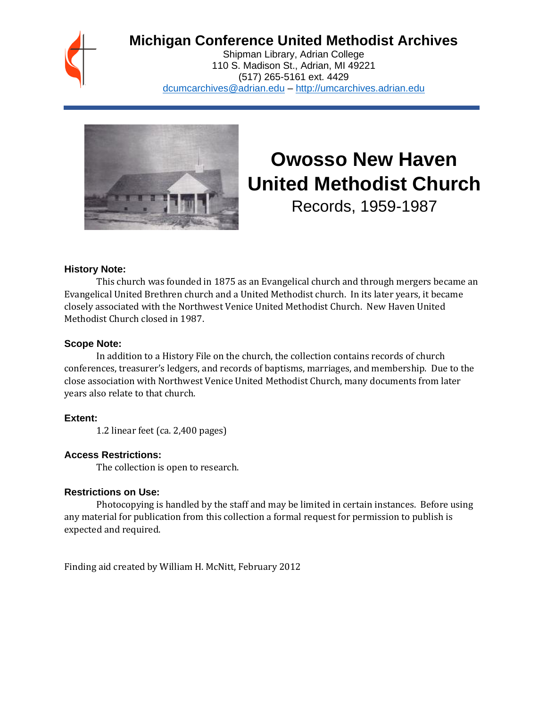

# **Michigan Conference United Methodist Archives**

Shipman Library, Adrian College 110 S. Madison St., Adrian, MI 49221 (517) 265-5161 ext. 4429 [dcumcarchives@adrian.edu](mailto:dcumcarchives@adrian.edu) – [http://umcarchives.adrian.edu](http://umcarchives.adrian.edu/)



# **Owosso New Haven United Methodist Church**

Records, 1959-1987

#### **History Note:**

This church was founded in 1875 as an Evangelical church and through mergers became an Evangelical United Brethren church and a United Methodist church. In its later years, it became closely associated with the Northwest Venice United Methodist Church. New Haven United Methodist Church closed in 1987.

# **Scope Note:**

In addition to a History File on the church, the collection contains records of church conferences, treasurer's ledgers, and records of baptisms, marriages, and membership. Due to the close association with Northwest Venice United Methodist Church, many documents from later years also relate to that church.

# **Extent:**

1.2 linear feet (ca. 2,400 pages)

# **Access Restrictions:**

The collection is open to research.

#### **Restrictions on Use:**

Photocopying is handled by the staff and may be limited in certain instances. Before using any material for publication from this collection a formal request for permission to publish is expected and required.

Finding aid created by William H. McNitt, February 2012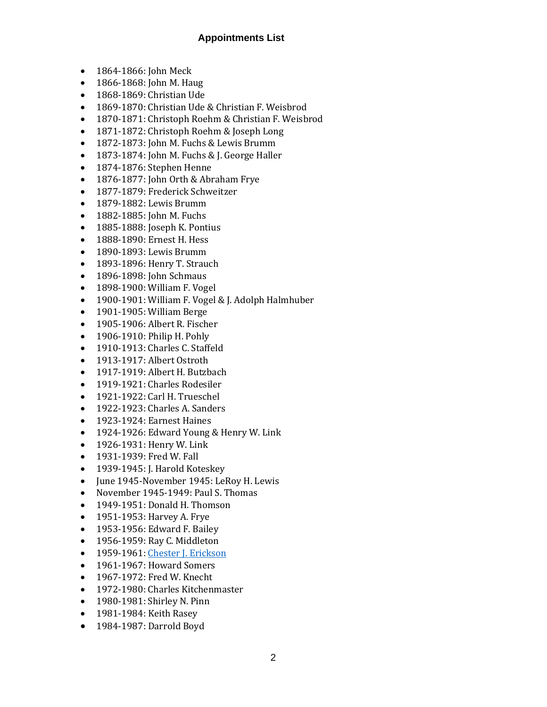# **Appointments List**

- 1864-1866: John Meck
- 1866-1868: John M. Haug
- 1868-1869: Christian Ude
- 1869-1870: Christian Ude & Christian F. Weisbrod
- 1870-1871: Christoph Roehm & Christian F. Weisbrod
- 1871-1872: Christoph Roehm & Joseph Long
- 1872-1873: John M. Fuchs & Lewis Brumm
- 1873-1874: John M. Fuchs & J. George Haller
- 1874-1876: Stephen Henne
- 1876-1877: John Orth & Abraham Frye
- 1877-1879: Frederick Schweitzer
- 1879-1882: Lewis Brumm
- 1882-1885: John M. Fuchs
- 1885-1888: Joseph K. Pontius
- 1888-1890: Ernest H. Hess
- 1890-1893: Lewis Brumm
- 1893-1896: Henry T. Strauch
- 1896-1898: John Schmaus
- 1898-1900: William F. Vogel
- 1900-1901: William F. Vogel & J. Adolph Halmhuber
- 1901-1905: William Berge
- 1905-1906: Albert R. Fischer
- 1906-1910: Philip H. Pohly
- 1910-1913: Charles C. Staffeld
- 1913-1917: Albert Ostroth
- 1917-1919: Albert H. Butzbach
- 1919-1921: Charles Rodesiler
- 1921-1922: Carl H. Trueschel
- 1922-1923: Charles A. Sanders
- 1923-1924: Earnest Haines
- 1924-1926: Edward Young & Henry W. Link
- 1926-1931: Henry W. Link
- 1931-1939: Fred W. Fall
- 1939-1945: J. Harold Koteskey
- June 1945-November 1945: LeRoy H. Lewis
- November 1945-1949: Paul S. Thomas
- 1949-1951: Donald H. Thomson
- 1951-1953: Harvey A. Frye
- 1953-1956: Edward F. Bailey
- 1956-1959: Ray C. Middleton
- 1959-1961[: Chester J. Erickson](http://umcarchives.adrian.edu/clergy/ericksoncj.php)
- 1961-1967: Howard Somers
- 1967-1972: Fred W. Knecht
- 1972-1980: Charles Kitchenmaster
- 1980-1981: Shirley N. Pinn
- 1981-1984: Keith Rasey
- 1984-1987: Darrold Boyd